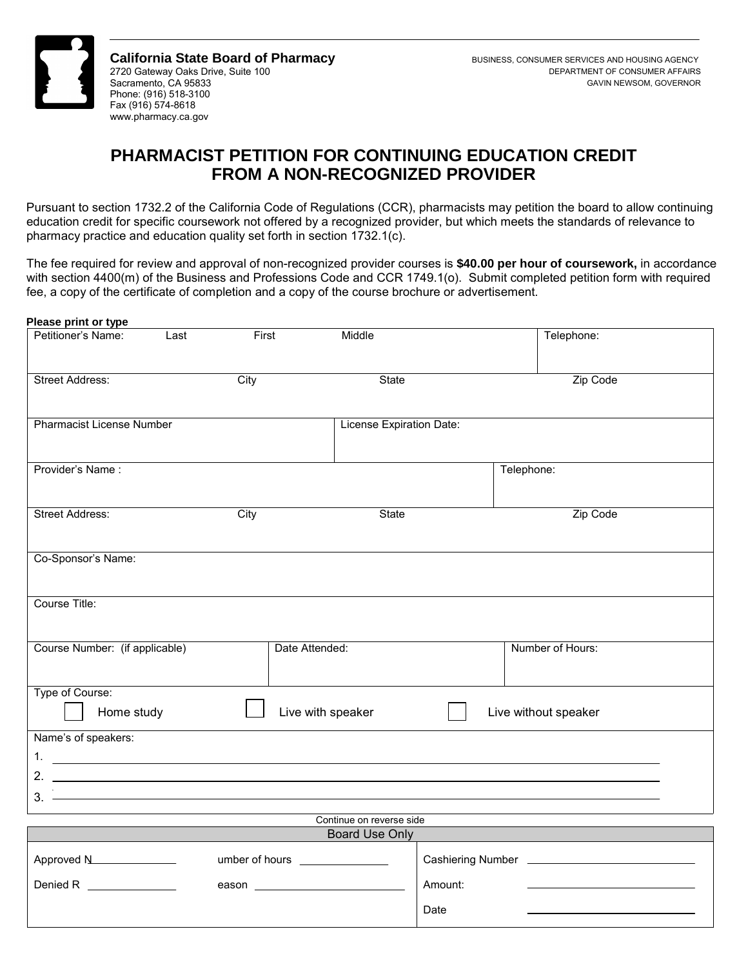

**California State Board of Pharmacy BUSINESS, CONSUMER SERVICES AND HOUSING AGENCY** 2720 Gateway Oaks Drive, Suite 100 DEPARTMENT OF CONSUMER AFFAIRS Sacramento, CA 95833 GAVIN NEWSOM, GOVERNOR Phone: (916) 518-3100 Fax (916) 574-8618 <www.pharmacy.ca.gov>

## **PHARMACIST PETITION FOR CONTINUING EDUCATION CREDIT FROM A NON-RECOGNIZED PROVIDER**

 Pursuant to section 1732.2 of the California Code of Regulations (CCR), pharmacists may petition the board to allow continuing education credit for specific coursework not offered by a recognized provider, but which meets the standards of relevance to pharmacy practice and education quality set forth in section 1732.1(c).

The fee required for review and approval of non-recognized provider courses is **\$40.00 per hour of coursework,** in accordance with section 4400(m) of the Business and Professions Code and CCR 1749.1(o). Submit completed petition form with required fee, a copy of the certificate of completion and a copy of the course brochure or advertisement.

| Petitioner's Name:<br>Last                                                                             | First | Middle                   | Telephone:           |
|--------------------------------------------------------------------------------------------------------|-------|--------------------------|----------------------|
| <b>Street Address:</b>                                                                                 | City  | State                    | Zip Code             |
| <b>Pharmacist License Number</b>                                                                       |       | License Expiration Date: |                      |
| Provider's Name:                                                                                       |       |                          | Telephone:           |
| Street Address:                                                                                        | City  | State                    | Zip Code             |
| Co-Sponsor's Name:                                                                                     |       |                          |                      |
| Course Title:                                                                                          |       |                          |                      |
| Course Number: (if applicable)                                                                         |       | Date Attended:           | Number of Hours:     |
|                                                                                                        |       |                          |                      |
| Home study                                                                                             |       | Live with speaker        | Live without speaker |
|                                                                                                        |       |                          |                      |
|                                                                                                        |       |                          |                      |
| Type of Course:<br>Name's of speakers:<br>2. $\overline{\phantom{a}}$<br>$3.$ $\overline{\phantom{a}}$ |       |                          |                      |

|            | Board Use Only |                          |  |
|------------|----------------|--------------------------|--|
| Approved N | umber of hours | <b>Cashiering Number</b> |  |
| Denied R   | eason          | Amount:                  |  |
|            |                | Date                     |  |